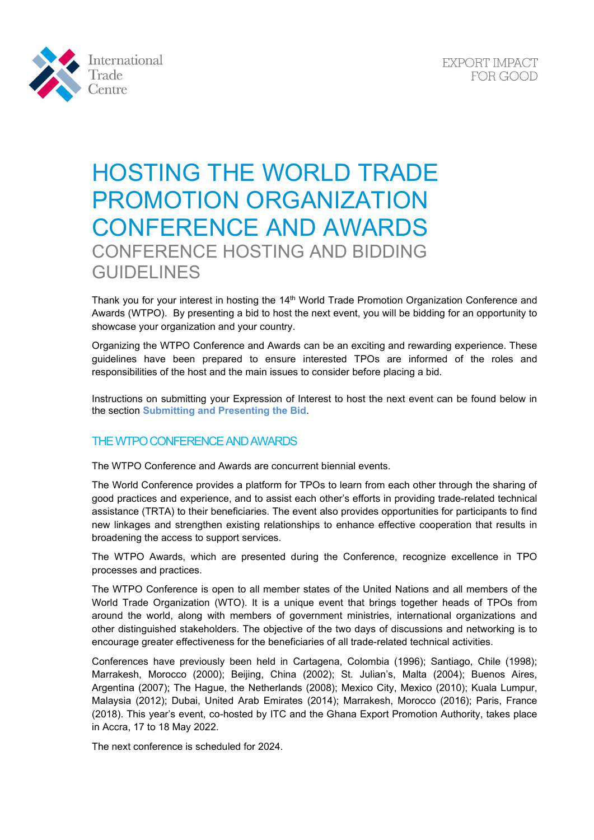



# HOSTING THE WORLD TRADE PROMOTION ORGANIZATION CONFERENCE AND AWARDS CONFERENCE HOSTING AND BIDDING GUIDELINES

Thank you for your interest in hosting the 14<sup>th</sup> World Trade Promotion Organization Conference and Awards (WTPO). By presenting a bid to host the next event, you will be bidding for an opportunity to showcase your organization and your country.

Organizing the WTPO Conference and Awards can be an exciting and rewarding experience. These guidelines have been prepared to ensure interested TPOs are informed of the roles and responsibilities of the host and the main issues to consider before placing a bid.

Instructions on submitting your Expression of Interest to host the next event can be found below in the section **[Submitting and Presenting the Bid](#page-3-0)**.

# THE WTPO CONFERENCE AND AWARDS

The WTPO Conference and Awards are concurrent biennial events.

The World Conference provides a platform for TPOs to learn from each other through the sharing of good practices and experience, and to assist each other's efforts in providing trade-related technical assistance (TRTA) to their beneficiaries. The event also provides opportunities for participants to find new linkages and strengthen existing relationships to enhance effective cooperation that results in broadening the access to support services.

The WTPO Awards, which are presented during the Conference, recognize excellence in TPO processes and practices.

The WTPO Conference is open to all member states of the United Nations and all members of the World Trade Organization (WTO). It is a unique event that brings together heads of TPOs from around the world, along with members of government ministries, international organizations and other distinguished stakeholders. The objective of the two days of discussions and networking is to encourage greater effectiveness for the beneficiaries of all trade-related technical activities.

Conferences have previously been held in Cartagena, Colombia (1996); Santiago, Chile (1998); Marrakesh, Morocco (2000); Beijing, China (2002); St. Julian's, Malta (2004); Buenos Aires, Argentina (2007); The Hague, the Netherlands (2008); Mexico City, Mexico (2010); Kuala Lumpur, Malaysia (2012); Dubai, United Arab Emirates (2014); Marrakesh, Morocco (2016); Paris, France (2018). This year's event, co-hosted by ITC and the Ghana Export Promotion Authority, takes place in Accra, 17 to 18 May 2022.

The next conference is scheduled for 2024.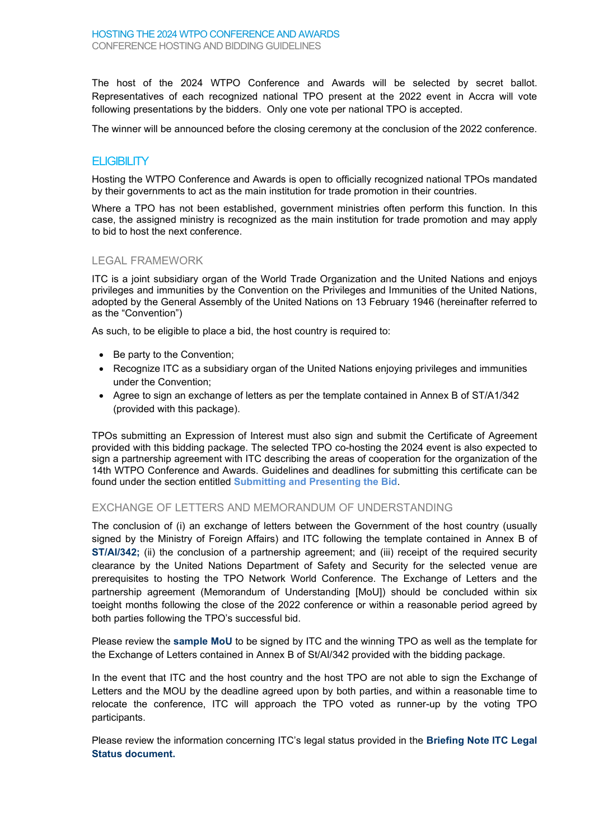The host of the 2024 WTPO Conference and Awards will be selected by secret ballot. Representatives of each recognized national TPO present at the 2022 event in Accra will vote following presentations by the bidders. Only one vote per national TPO is accepted.

The winner will be announced before the closing ceremony at the conclusion of the 2022 conference.

#### **ELIGIBILITY**

Hosting the WTPO Conference and Awards is open to officially recognized national TPOs mandated by their governments to act as the main institution for trade promotion in their countries.

Where a TPO has not been established, government ministries often perform this function. In this case, the assigned ministry is recognized as the main institution for trade promotion and may apply to bid to host the next conference.

#### LEGAL FRAMEWORK

ITC is a joint subsidiary organ of the World Trade Organization and the United Nations and enjoys privileges and immunities by the Convention on the Privileges and Immunities of the United Nations, adopted by the General Assembly of the United Nations on 13 February 1946 (hereinafter referred to as the "Convention")

As such, to be eligible to place a bid, the host country is required to:

- Be party to the Convention;
- Recognize ITC as a subsidiary organ of the United Nations enjoying privileges and immunities under the Convention;
- Agree to sign an exchange of letters as per the template contained in Annex B of ST/A1/342 (provided with this package).

TPOs submitting an Expression of Interest must also sign and submit the Certificate of Agreement provided with this bidding package. The selected TPO co-hosting the 2024 event is also expected to sign a partnership agreement with ITC describing the areas of cooperation for the organization of the 14th WTPO Conference and Awards. Guidelines and deadlines for submitting this certificate can be found under the section entitled **[Submitting and Presenting the Bid](#page-3-0)**.

#### EXCHANGE OF LETTERS AND MEMORANDUM OF UNDERSTANDING

The conclusion of (i) an exchange of letters between the Government of the host country (usually signed by the Ministry of Foreign Affairs) and ITC following the template contained in Annex B of **[ST/AI/342;](https://www.intracen.org/uploadedFiles/intracenorg/Content/Redesign/Events/WTPO/WTPO_2020/STAI_342Conf.pdf)** (ii) the conclusion of a partnership agreement; and (iii) receipt of the required security clearance by the United Nations Department of Safety and Security for the selected venue are prerequisites to hosting the TPO Network World Conference. The Exchange of Letters and the partnership agreement (Memorandum of Understanding [MoU]) should be concluded within six toeight months following the close of the 2022 conference or within a reasonable period agreed by both parties following the TPO's successful bid.

Please review the **[sample MoU](https://www.intracen.org/uploadedFiles/intracenorg/Content/Redesign/Events/WTPO/WTPO_2020/SAMPLE_MoU_TPOConferenceAwards.pdf)** to be signed by ITC and the winning TPO as well as the template for the Exchange of Letters contained in Annex B of St/AI/342 provided with the bidding package.

In the event that ITC and the host country and the host TPO are not able to sign the Exchange of Letters and the MOU by the deadline agreed upon by both parties, and within a reasonable time to relocate the conference, ITC will approach the TPO voted as runner-up by the voting TPO participants.

Please review the information concerning ITC's legal status provided in the **[Briefing Note ITC Legal](https://www.intracen.org/uploadedFiles/intracenorg/Content/Redesign/Events/WTPO/WTPO_2020/P12_5BriefingNoteITCLegalStatus7Sep12Abbrev.pdf)  [Status document.](https://www.intracen.org/uploadedFiles/intracenorg/Content/Redesign/Events/WTPO/WTPO_2020/P12_5BriefingNoteITCLegalStatus7Sep12Abbrev.pdf)**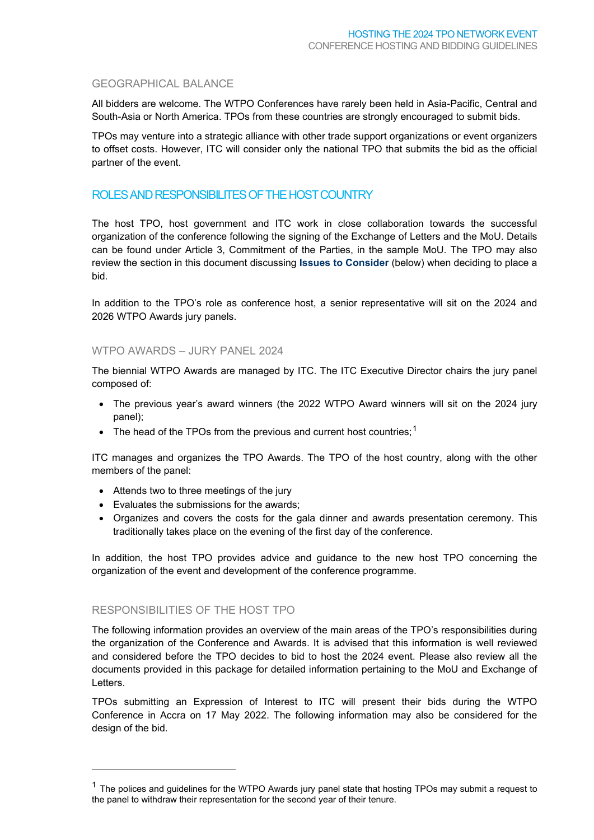## GEOGRAPHICAL BALANCE

All bidders are welcome. The WTPO Conferences have rarely been held in Asia-Pacific, Central and South-Asia or North America. TPOs from these countries are strongly encouraged to submit bids.

TPOs may venture into a strategic alliance with other trade support organizations or event organizers to offset costs. However, ITC will consider only the national TPO that submits the bid as the official partner of the event.

## ROLES AND RESPONSIBILITES OF THE HOST COUNTRY

The host TPO, host government and ITC work in close collaboration towards the successful organization of the conference following the signing of the Exchange of Letters and the MoU. Details can be found under Article 3, Commitment of the Parties, in the sample MoU. The TPO may also review the section in this document discussing **Issues [to Consider](#page-2-0)** (below) when deciding to place a bid.

In addition to the TPO's role as conference host, a senior representative will sit on the 2024 and 2026 WTPO Awards jury panels.

### WTPO AWARDS – JURY PANEL 2024

The biennial WTPO Awards are managed by ITC. The ITC Executive Director chairs the jury panel composed of:

- The previous year's award winners (the 2022 WTPO Award winners will sit on the 2024 jury panel);
- The head of the TPOs from the previous and current host countries;<sup>[1](#page-2-1)</sup>

ITC manages and organizes the TPO Awards. The TPO of the host country, along with the other members of the panel:

- Attends two to three meetings of the jury
- Evaluates the submissions for the awards;
- Organizes and covers the costs for the gala dinner and awards presentation ceremony. This traditionally takes place on the evening of the first day of the conference.

In addition, the host TPO provides advice and guidance to the new host TPO concerning the organization of the event and development of the conference programme.

## <span id="page-2-0"></span>RESPONSIBILITIES OF THE HOST TPO

The following information provides an overview of the main areas of the TPO's responsibilities during the organization of the Conference and Awards. It is advised that this information is well reviewed and considered before the TPO decides to bid to host the 2024 event. Please also review all the documents provided in this package for detailed information pertaining to the MoU and Exchange of Letters.

TPOs submitting an Expression of Interest to ITC will present their bids during the WTPO Conference in Accra on 17 May 2022. The following information may also be considered for the design of the bid.

<span id="page-2-1"></span> $1$  The polices and guidelines for the WTPO Awards jury panel state that hosting TPOs may submit a request to the panel to withdraw their representation for the second year of their tenure.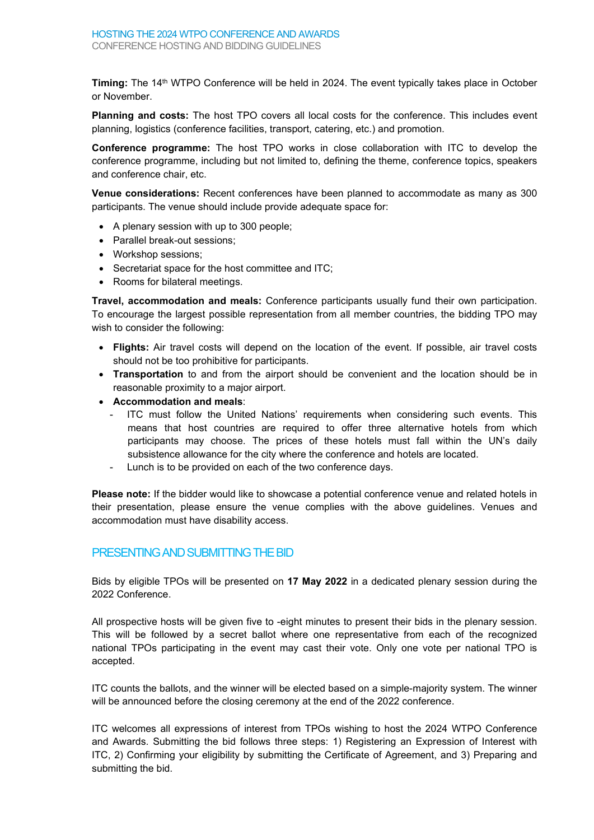**Timing:** The 14<sup>th</sup> WTPO Conference will be held in 2024. The event typically takes place in October or November.

**Planning and costs:** The host TPO covers all local costs for the conference. This includes event planning, logistics (conference facilities, transport, catering, etc.) and promotion.

**Conference programme:** The host TPO works in close collaboration with ITC to develop the conference programme, including but not limited to, defining the theme, conference topics, speakers and conference chair, etc.

**Venue considerations:** Recent conferences have been planned to accommodate as many as 300 participants. The venue should include provide adequate space for:

- A plenary session with up to 300 people;
- Parallel break-out sessions;
- Workshop sessions;
- Secretariat space for the host committee and ITC;
- Rooms for bilateral meetings.

**Travel, accommodation and meals:** Conference participants usually fund their own participation. To encourage the largest possible representation from all member countries, the bidding TPO may wish to consider the following:

- **Flights:** Air travel costs will depend on the location of the event. If possible, air travel costs should not be too prohibitive for participants.
- **Transportation** to and from the airport should be convenient and the location should be in reasonable proximity to a major airport.
- **Accommodation and meals**:
	- ITC must follow the United Nations' requirements when considering such events. This means that host countries are required to offer three alternative hotels from which participants may choose. The prices of these hotels must fall within the UN's daily subsistence allowance for the city where the conference and hotels are located.
	- Lunch is to be provided on each of the two conference days.

**Please note:** If the bidder would like to showcase a potential conference venue and related hotels in their presentation, please ensure the venue complies with the above guidelines. Venues and accommodation must have disability access.

## <span id="page-3-0"></span>PRESENTING AND SUBMITTING THE BID

Bids by eligible TPOs will be presented on **17 May 2022** in a dedicated plenary session during the 2022 Conference.

All prospective hosts will be given five to -eight minutes to present their bids in the plenary session. This will be followed by a secret ballot where one representative from each of the recognized national TPOs participating in the event may cast their vote. Only one vote per national TPO is accepted.

ITC counts the ballots, and the winner will be elected based on a simple-majority system. The winner will be announced before the closing ceremony at the end of the 2022 conference.

ITC welcomes all expressions of interest from TPOs wishing to host the 2024 WTPO Conference and Awards. Submitting the bid follows three steps: 1) Registering an Expression of Interest with ITC, 2) Confirming your eligibility by submitting the Certificate of Agreement, and 3) Preparing and submitting the bid.